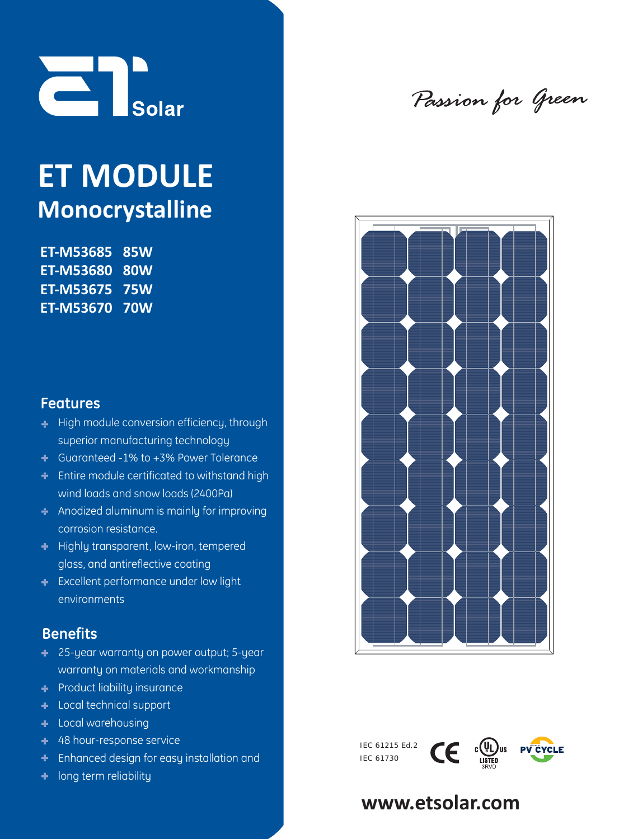

# **ET MODULE Monocrystalline**

**ET-M53685 85W ET-M53680 80W ET-M53675 75W ET-M53670 70W** 

### **Features**

- **High module conversion efficiency, through** superior manufacturing technology
- Guaranteed -1% to +3% Power Tolerance
- **Entire module certificated to withstand high** wind loads and snow loads (2400Pa)
- Anodized aluminum is mainly for improving corrosion resistance.
- **Highly transparent, low-iron, tempered** glass, and antireflective coating
- **Excellent performance under low light** environments

## **Benefits**

- 25-year warranty on power output; 5-year warranty on materials and workmanship
- **Product liability insurance**
- **Local technical support**
- **Local warehousing**
- + 48 hour-response service
- Enhanced design for easy installation and
- **+** long term reliability

Passion for Green



IEC 61215 Ed.2  $\mathsf{CE}$   $\mathfrak{c}_{\mathsf{QL}}^{(i)}$   $\mathfrak{c}_{\mathsf{S}}^{(i)}$ **PV CYCLE** IEC 61730

# **www.etsolar.com**